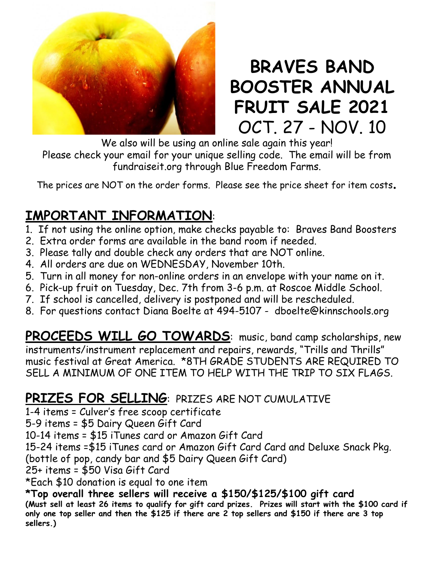

## **BRAVES BAND BOOSTER ANNUAL FRUIT SALE 2021** OCT. 27 - NOV. 10

We also will be using an online sale again this year! Please check your email for your unique selling code. The email will be from fundraiseit.org through Blue Freedom Farms.

The prices are NOT on the order forms. Please see the price sheet for item costs.

## **IMPORTANT INFORMATION**:

- 1. If not using the online option, make checks payable to: Braves Band Boosters
- 2. Extra order forms are available in the band room if needed.
- 3. Please tally and double check any orders that are NOT online.
- 4. All orders are due on WEDNESDAY, November 10th.
- 5. Turn in all money for non-online orders in an envelope with your name on it.
- 6. Pick-up fruit on Tuesday, Dec. 7th from 3-6 p.m. at Roscoe Middle School.
- 7. If school is cancelled, delivery is postponed and will be rescheduled.
- 8. For questions contact Diana Boelte at 494-5107 dboelte@kinnschools.org

PROCEEDS WILL GO TOWARDS: music, band camp scholarships, new instruments/instrument replacement and repairs, rewards, "Trills and Thrills" music festival at Great America. \*8TH GRADE STUDENTS ARE REQUIRED TO SELL A MINIMUM OF ONE ITEM TO HELP WITH THE TRIP TO SIX FLAGS.

## **PRIZES FOR SELLING**: PRIZES ARE NOT CUMULATIVE

1-4 items = Culver's free scoop certificate

5-9 items = \$5 Dairy Queen Gift Card

10-14 items = \$15 iTunes card or Amazon Gift Card

15-24 items =\$15 iTunes card or Amazon Gift Card Card and Deluxe Snack Pkg.

(bottle of pop, candy bar and \$5 Dairy Queen Gift Card)

25+ items = \$50 Visa Gift Card

\*Each \$10 donation is equal to one item

**\*Top overall three sellers will receive a \$150/\$125/\$100 gift card** (Must sell at least 26 items to qualify for gift card prizes. Prizes will start with the \$100 card if only one top seller and then the \$125 if there are 2 top sellers and \$150 if there are 3 top **sellers.)**